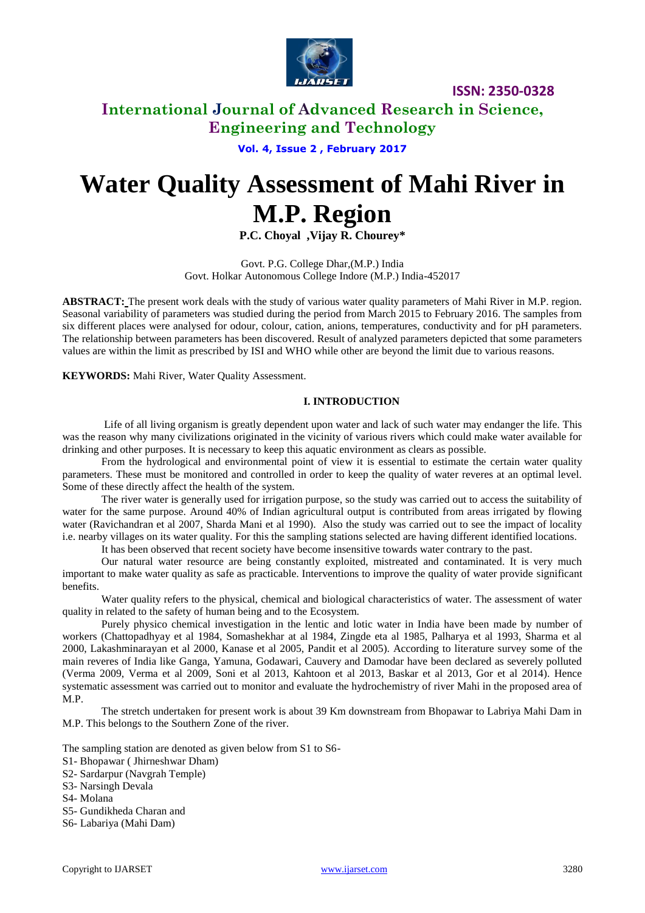

# **International Journal of Advanced Research in Science, Engineering and Technology**

**Vol. 4, Issue 2 , February 2017**

# **Water Quality Assessment of Mahi River in M.P. Region**

**P.C. Choyal ,Vijay R. Chourey\***

Govt. P.G. College Dhar,(M.P.) India Govt. Holkar Autonomous College Indore (M.P.) India-452017

**ABSTRACT:** The present work deals with the study of various water quality parameters of Mahi River in M.P. region. Seasonal variability of parameters was studied during the period from March 2015 to February 2016. The samples from six different places were analysed for odour, colour, cation, anions, temperatures, conductivity and for pH parameters. The relationship between parameters has been discovered. Result of analyzed parameters depicted that some parameters values are within the limit as prescribed by ISI and WHO while other are beyond the limit due to various reasons.

**KEYWORDS:** Mahi River, Water Quality Assessment.

### **I. INTRODUCTION**

Life of all living organism is greatly dependent upon water and lack of such water may endanger the life. This was the reason why many civilizations originated in the vicinity of various rivers which could make water available for drinking and other purposes. It is necessary to keep this aquatic environment as clears as possible.

From the hydrological and environmental point of view it is essential to estimate the certain water quality parameters. These must be monitored and controlled in order to keep the quality of water reveres at an optimal level. Some of these directly affect the health of the system.

The river water is generally used for irrigation purpose, so the study was carried out to access the suitability of water for the same purpose. Around 40% of Indian agricultural output is contributed from areas irrigated by flowing water (Ravichandran et al 2007, Sharda Mani et al 1990). Also the study was carried out to see the impact of locality i.e. nearby villages on its water quality. For this the sampling stations selected are having different identified locations.

It has been observed that recent society have become insensitive towards water contrary to the past.

Our natural water resource are being constantly exploited, mistreated and contaminated. It is very much important to make water quality as safe as practicable. Interventions to improve the quality of water provide significant benefits.

Water quality refers to the physical, chemical and biological characteristics of water. The assessment of water quality in related to the safety of human being and to the Ecosystem.

Purely physico chemical investigation in the lentic and lotic water in India have been made by number of workers (Chattopadhyay et al 1984, Somashekhar at al 1984, Zingde eta al 1985, Palharya et al 1993, Sharma et al 2000, Lakashminarayan et al 2000, Kanase et al 2005, Pandit et al 2005). According to literature survey some of the main reveres of India like Ganga, Yamuna, Godawari, Cauvery and Damodar have been declared as severely polluted (Verma 2009, Verma et al 2009, Soni et al 2013, Kahtoon et al 2013, Baskar et al 2013, Gor et al 2014). Hence systematic assessment was carried out to monitor and evaluate the hydrochemistry of river Mahi in the proposed area of M.P.

The stretch undertaken for present work is about 39 Km downstream from Bhopawar to Labriya Mahi Dam in M.P. This belongs to the Southern Zone of the river.

The sampling station are denoted as given below from S1 to S6-

- S1- Bhopawar ( Jhirneshwar Dham)
- S2- Sardarpur (Navgrah Temple)

S3- Narsingh Devala

S4- Molana

- S5- Gundikheda Charan and
- S6- Labariya (Mahi Dam)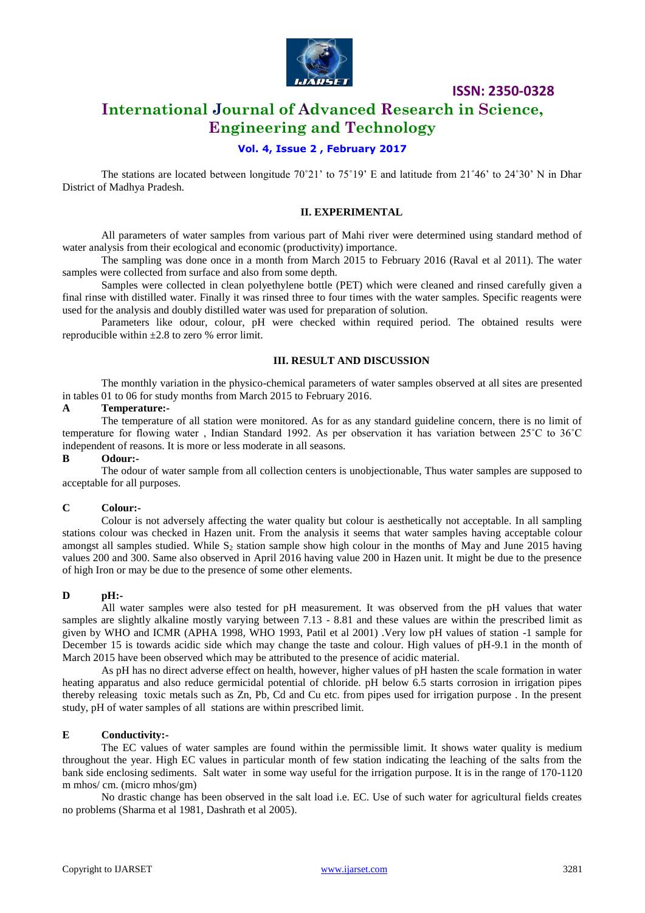

# **International Journal of Advanced Research in Science, Engineering and Technology**

# **Vol. 4, Issue 2 , February 2017**

The stations are located between longitude 70°21' to 75°19' E and latitude from 21°46' to 24°30' N in Dhar District of Madhya Pradesh.

#### **II. EXPERIMENTAL**

All parameters of water samples from various part of Mahi river were determined using standard method of water analysis from their ecological and economic (productivity) importance.

The sampling was done once in a month from March 2015 to February 2016 (Raval et al 2011). The water samples were collected from surface and also from some depth.

Samples were collected in clean polyethylene bottle (PET) which were cleaned and rinsed carefully given a final rinse with distilled water. Finally it was rinsed three to four times with the water samples. Specific reagents were used for the analysis and doubly distilled water was used for preparation of solution.

Parameters like odour, colour, pH were checked within required period. The obtained results were reproducible within  $\pm 2.8$  to zero % error limit.

### **III. RESULT AND DISCUSSION**

The monthly variation in the physico-chemical parameters of water samples observed at all sites are presented in tables 01 to 06 for study months from March 2015 to February 2016.

#### **A Temperature:-**

The temperature of all station were monitored. As for as any standard guideline concern, there is no limit of temperature for flowing water , Indian Standard 1992. As per observation it has variation between 25˚C to 36˚C independent of reasons. It is more or less moderate in all seasons.

# **B Odour:-**

The odour of water sample from all collection centers is unobjectionable, Thus water samples are supposed to acceptable for all purposes.

### **C Colour:-**

Colour is not adversely affecting the water quality but colour is aesthetically not acceptable. In all sampling stations colour was checked in Hazen unit. From the analysis it seems that water samples having acceptable colour amongst all samples studied. While  $S<sub>2</sub>$  station sample show high colour in the months of May and June 2015 having values 200 and 300. Same also observed in April 2016 having value 200 in Hazen unit. It might be due to the presence of high Iron or may be due to the presence of some other elements.

### **D pH:-**

All water samples were also tested for pH measurement. It was observed from the pH values that water samples are slightly alkaline mostly varying between 7.13 - 8.81 and these values are within the prescribed limit as given by WHO and ICMR (APHA 1998, WHO 1993, Patil et al 2001) .Very low pH values of station -1 sample for December 15 is towards acidic side which may change the taste and colour. High values of pH-9.1 in the month of March 2015 have been observed which may be attributed to the presence of acidic material.

As pH has no direct adverse effect on health, however, higher values of pH hasten the scale formation in water heating apparatus and also reduce germicidal potential of chloride. pH below 6.5 starts corrosion in irrigation pipes thereby releasing toxic metals such as Zn, Pb, Cd and Cu etc. from pipes used for irrigation purpose . In the present study, pH of water samples of all stations are within prescribed limit.

### **E Conductivity:-**

The EC values of water samples are found within the permissible limit. It shows water quality is medium throughout the year. High EC values in particular month of few station indicating the leaching of the salts from the bank side enclosing sediments. Salt water in some way useful for the irrigation purpose. It is in the range of 170-1120 m mhos/ cm. (micro mhos/gm)

No drastic change has been observed in the salt load i.e. EC. Use of such water for agricultural fields creates no problems (Sharma et al 1981, Dashrath et al 2005).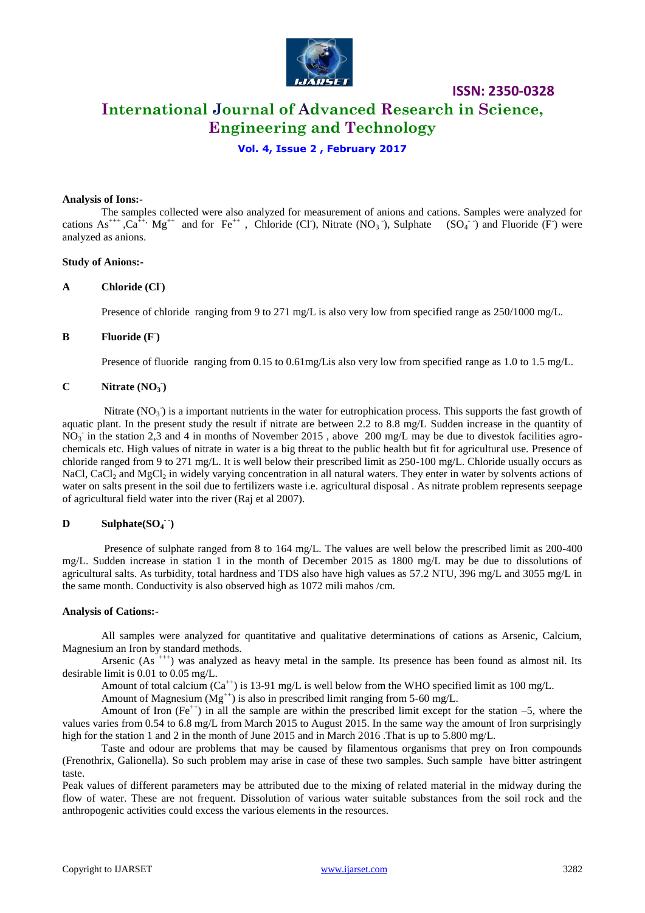

# **International Journal of Advanced Research in Science, Engineering and Technology**

**ISSN: 2350-0328**

# **Vol. 4, Issue 2 , February 2017**

#### **Analysis of Ions:-**

The samples collected were also analyzed for measurement of anions and cations. Samples were analyzed for cations  $As^{+++}$ ,  $Ca^{++}$ ,  $Mg^{++}$  and for  $Fe^{++}$ , Chloride (Cl), Nitrate (NO<sub>3</sub>), Sulphate (SO<sub>4</sub>) and Fluoride (F) were analyzed as anions.

### **Study of Anions:-**

### **A Chloride (Cl- )**

Presence of chloride ranging from 9 to 271 mg/L is also very low from specified range as 250/1000 mg/L.

# **B Fluoride (F- )**

Presence of fluoride ranging from 0.15 to 0.61mg/Lis also very low from specified range as 1.0 to 1.5 mg/L.

# $C$  **Nitrate** (NO<sub>3</sub>)

Nitrate  $(NO<sub>3</sub>)$  is a important nutrients in the water for eutrophication process. This supports the fast growth of aquatic plant. In the present study the result if nitrate are between 2.2 to 8.8 mg/L Sudden increase in the quantity of  $NO_3$  in the station 2,3 and 4 in months of November 2015, above 200 mg/L may be due to divestok facilities agrochemicals etc. High values of nitrate in water is a big threat to the public health but fit for agricultural use. Presence of chloride ranged from 9 to 271 mg/L. It is well below their prescribed limit as 250-100 mg/L. Chloride usually occurs as NaCl, CaCl<sub>2</sub> and MgCl<sub>2</sub> in widely varying concentration in all natural waters. They enter in water by solvents actions of water on salts present in the soil due to fertilizers waste i.e. agricultural disposal . As nitrate problem represents seepage of agricultural field water into the river (Raj et al 2007).

# $D$  **Sulphate(SO<sub>4</sub><sup>-</sup>)**

Presence of sulphate ranged from 8 to 164 mg/L. The values are well below the prescribed limit as 200-400 mg/L. Sudden increase in station 1 in the month of December 2015 as 1800 mg/L may be due to dissolutions of agricultural salts. As turbidity, total hardness and TDS also have high values as 57.2 NTU, 396 mg/L and 3055 mg/L in the same month. Conductivity is also observed high as 1072 mili mahos /cm.

#### **Analysis of Cations:-**

All samples were analyzed for quantitative and qualitative determinations of cations as Arsenic, Calcium, Magnesium an Iron by standard methods.

Arsenic  $(As <sup>+++</sup>)$  was analyzed as heavy metal in the sample. Its presence has been found as almost nil. Its desirable limit is 0.01 to 0.05 mg/L.

Amount of total calcium (Ca<sup>++</sup>) is 13-91 mg/L is well below from the WHO specified limit as 100 mg/L.

Amount of Magnesium ( $Mg^{+}$ ) is also in prescribed limit ranging from 5-60 mg/L.

Amount of Iron  $(Fe^{++})$  in all the sample are within the prescribed limit except for the station –5, where the values varies from 0.54 to 6.8 mg/L from March 2015 to August 2015. In the same way the amount of Iron surprisingly high for the station 1 and 2 in the month of June 2015 and in March 2016. That is up to 5.800 mg/L.

Taste and odour are problems that may be caused by filamentous organisms that prey on Iron compounds (Frenothrix, Galionella). So such problem may arise in case of these two samples. Such sample have bitter astringent taste.

Peak values of different parameters may be attributed due to the mixing of related material in the midway during the flow of water. These are not frequent. Dissolution of various water suitable substances from the soil rock and the anthropogenic activities could excess the various elements in the resources.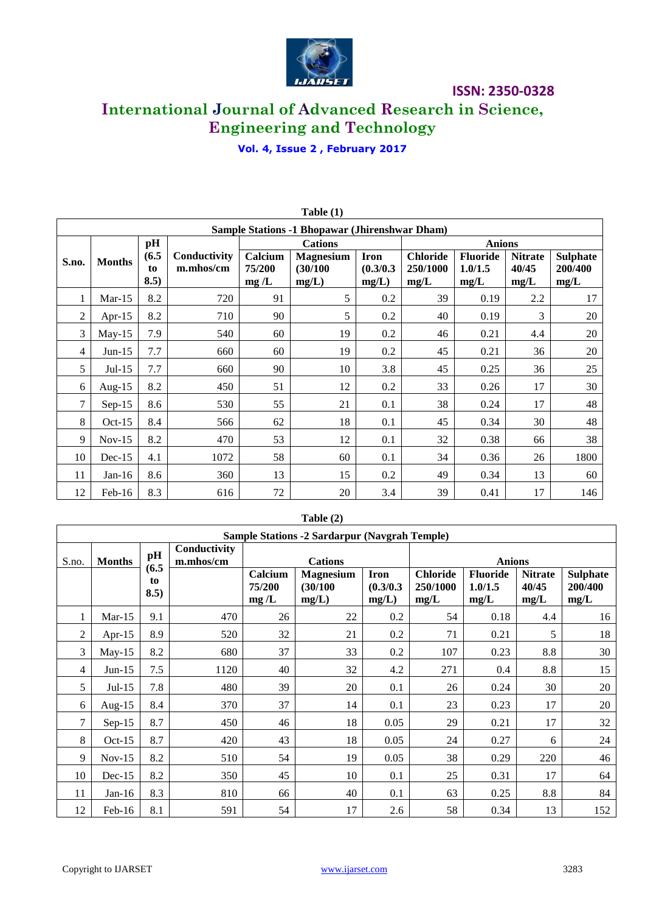

# **International Journal of Advanced Research in Science, Engineering and Technology**

**Vol. 4, Issue 2 , February 2017**

|       |               |            |              |                | Table $(1)$                                           |                    |                  |                 |                |                 |
|-------|---------------|------------|--------------|----------------|-------------------------------------------------------|--------------------|------------------|-----------------|----------------|-----------------|
|       |               |            |              |                | <b>Sample Stations -1 Bhopawar (Jhirenshwar Dham)</b> |                    |                  |                 |                |                 |
|       |               | pH         |              |                | <b>Cations</b>                                        |                    |                  | <b>Anions</b>   |                |                 |
| S.no. | <b>Months</b> | (6.5)      | Conductivity | Calcium        | <b>Magnesium</b>                                      | <b>Iron</b>        | <b>Chloride</b>  | <b>Fluoride</b> | <b>Nitrate</b> | <b>Sulphate</b> |
|       |               | to<br>8.5) | m.mhos/cm    | 75/200<br>mg/L | (30/100)<br>mg/L)                                     | (0.3/0.3)<br>mg/L) | 250/1000<br>mg/L | 1.0/1.5<br>mg/L | 40/45<br>mg/L  | 200/400<br>mg/L |
|       | $Mar-15$      | 8.2        | 720          | 91             | 5                                                     | 0.2                | 39               | 0.19            | 2.2            | 17              |
| 2     | Apr- $15$     | 8.2        | 710          | 90             | 5                                                     | 0.2                | 40               | 0.19            | 3              | 20              |
| 3     | $May-15$      | 7.9        | 540          | 60             | 19                                                    | 0.2                | 46               | 0.21            | 4.4            | 20              |
| 4     | $Jun-15$      | 7.7        | 660          | 60             | 19                                                    | 0.2                | 45               | 0.21            | 36             | 20              |
| 5     | $Jul-15$      | 7.7        | 660          | 90             | 10                                                    | 3.8                | 45               | 0.25            | 36             | 25              |
| 6     | Aug- $15$     | 8.2        | 450          | 51             | 12                                                    | 0.2                | 33               | 0.26            | 17             | 30              |
| 7     | $Sep-15$      | 8.6        | 530          | 55             | 21                                                    | 0.1                | 38               | 0.24            | 17             | 48              |
| 8     | $Oct-15$      | 8.4        | 566          | 62             | 18                                                    | 0.1                | 45               | 0.34            | 30             | 48              |
| 9     | $Nov-15$      | 8.2        | 470          | 53             | 12                                                    | 0.1                | 32               | 0.38            | 66             | 38              |
| 10    | $Dec-15$      | 4.1        | 1072         | 58             | 60                                                    | 0.1                | 34               | 0.36            | 26             | 1800            |
| 11    | $Jan-16$      | 8.6        | 360          | 13             | 15                                                    | 0.2                | 49               | 0.34            | 13             | 60              |
| 12    | Feb-16        | 8.3        | 616          | 72             | 20                                                    | 3.4                | 39               | 0.41            | 17             | 146             |

# **Table (2)**

|                |               |             |                           |                           | <b>Sample Stations -2 Sardarpur (Navgrah Temple)</b> |                                   |                                     |                                    |                                 |                                    |
|----------------|---------------|-------------|---------------------------|---------------------------|------------------------------------------------------|-----------------------------------|-------------------------------------|------------------------------------|---------------------------------|------------------------------------|
| S.no.          | <b>Months</b> | pH<br>(6.5) | Conductivity<br>m.mhos/cm |                           | <b>Cations</b>                                       |                                   |                                     | <b>Anions</b>                      |                                 |                                    |
|                |               | to<br>8.5)  |                           | Calcium<br>75/200<br>mg/L | <b>Magnesium</b><br>(30/100)<br>mg/L)                | <b>Iron</b><br>(0.3/0.3)<br>mg/L) | <b>Chloride</b><br>250/1000<br>mg/L | <b>Fluoride</b><br>1.0/1.5<br>mg/L | <b>Nitrate</b><br>40/45<br>mg/L | <b>Sulphate</b><br>200/400<br>mg/L |
| 1              | $Mar-15$      | 9.1         | 470                       | 26                        | 22                                                   | 0.2                               | 54                                  | 0.18                               | 4.4                             | 16                                 |
| $\overline{2}$ | Apr- $15$     | 8.9         | 520                       | 32                        | 21                                                   | 0.2                               | 71                                  | 0.21                               | 5                               | 18                                 |
| 3              | $May-15$      | 8.2         | 680                       | 37                        | 33                                                   | 0.2                               | 107                                 | 0.23                               | 8.8                             | 30                                 |
| $\overline{4}$ | $Jun-15$      | 7.5         | 1120                      | 40                        | 32                                                   | 4.2                               | 271                                 | 0.4                                | 8.8                             | 15                                 |
| 5              | $Jul-15$      | 7.8         | 480                       | 39                        | 20                                                   | 0.1                               | 26                                  | 0.24                               | 30                              | 20                                 |
| 6              | Aug- $15$     | 8.4         | 370                       | 37                        | 14                                                   | 0.1                               | 23                                  | 0.23                               | 17                              | 20                                 |
| $\tau$         | $Sep-15$      | 8.7         | 450                       | 46                        | 18                                                   | 0.05                              | 29                                  | 0.21                               | 17                              | 32                                 |
| 8              | $Oct-15$      | 8.7         | 420                       | 43                        | 18                                                   | 0.05                              | 24                                  | 0.27                               | 6                               | 24                                 |
| 9              | $Nov-15$      | 8.2         | 510                       | 54                        | 19                                                   | 0.05                              | 38                                  | 0.29                               | 220                             | 46                                 |
| 10             | $Dec-15$      | 8.2         | 350                       | 45                        | 10                                                   | 0.1                               | 25                                  | 0.31                               | 17                              | 64                                 |
| 11             | Jan-16        | 8.3         | 810                       | 66                        | 40                                                   | 0.1                               | 63                                  | 0.25                               | 8.8                             | 84                                 |
| 12             | $Feb-16$      | 8.1         | 591                       | 54                        | 17                                                   | 2.6                               | 58                                  | 0.34                               | 13                              | 152                                |

 $\mathbf{r}$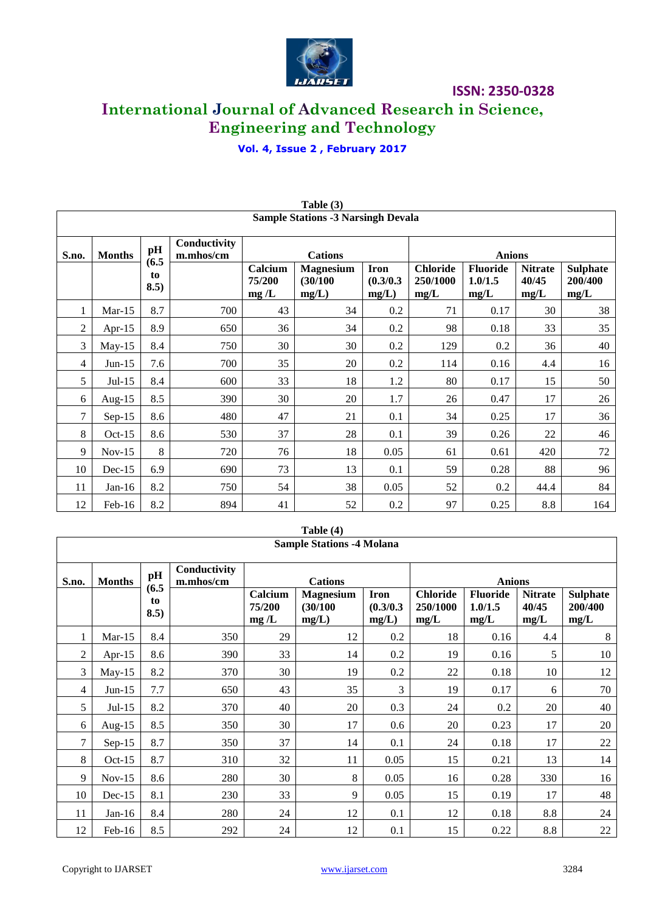

# **International Journal of Advanced Research in Science, Engineering and Technology**

**Vol. 4, Issue 2 , February 2017**

|                |               |             |                           |                           | <b>Sample Stations -3 Narsingh Devala</b> |                                   |                                     |                                    |                                 |                                    |  |
|----------------|---------------|-------------|---------------------------|---------------------------|-------------------------------------------|-----------------------------------|-------------------------------------|------------------------------------|---------------------------------|------------------------------------|--|
| S.no.          | <b>Months</b> | pH<br>(6.5) | Conductivity<br>m.mhos/cm |                           | <b>Cations</b>                            |                                   | <b>Anions</b>                       |                                    |                                 |                                    |  |
|                |               | to<br>8.5)  |                           | Calcium<br>75/200<br>mg/L | <b>Magnesium</b><br>(30/100)<br>mg/L)     | <b>Iron</b><br>(0.3/0.3)<br>mg/L) | <b>Chloride</b><br>250/1000<br>mg/L | <b>Fluoride</b><br>1.0/1.5<br>mg/L | <b>Nitrate</b><br>40/45<br>mg/L | <b>Sulphate</b><br>200/400<br>mg/L |  |
| 1              | $Mar-15$      | 8.7         | 700                       | 43                        | 34                                        | 0.2                               | 71                                  | 0.17                               | 30                              | 38                                 |  |
| 2              | Apr- $15$     | 8.9         | 650                       | 36                        | 34                                        | 0.2                               | 98                                  | 0.18                               | 33                              | 35                                 |  |
| 3              | $May-15$      | 8.4         | 750                       | 30                        | 30                                        | 0.2                               | 129                                 | 0.2                                | 36                              | 40                                 |  |
| $\overline{4}$ | $Jun-15$      | 7.6         | 700                       | 35                        | 20                                        | 0.2                               | 114                                 | 0.16                               | 4.4                             | 16                                 |  |
| 5              | $Jul-15$      | 8.4         | 600                       | 33                        | 18                                        | 1.2                               | 80                                  | 0.17                               | 15                              | 50                                 |  |
| 6              | Aug- $15$     | 8.5         | 390                       | 30                        | 20                                        | 1.7                               | 26                                  | 0.47                               | 17                              | 26                                 |  |
| 7              | $Sep-15$      | 8.6         | 480                       | 47                        | 21                                        | 0.1                               | 34                                  | 0.25                               | 17                              | 36                                 |  |
| 8              | $Oct-15$      | 8.6         | 530                       | 37                        | 28                                        | 0.1                               | 39                                  | 0.26                               | 22                              | 46                                 |  |
| 9              | $Nov-15$      | 8           | 720                       | 76                        | 18                                        | 0.05                              | 61                                  | 0.61                               | 420                             | 72                                 |  |
| 10             | $Dec-15$      | 6.9         | 690                       | 73                        | 13                                        | 0.1                               | 59                                  | 0.28                               | 88                              | 96                                 |  |
| 11             | $Jan-16$      | 8.2         | 750                       | 54                        | 38                                        | 0.05                              | 52                                  | 0.2                                | 44.4                            | 84                                 |  |
| 12             | Feb-16        | 8.2         | 894                       | 41                        | 52                                        | 0.2                               | 97                                  | 0.25                               | 8.8                             | 164                                |  |

| Table $(3)$                  |  |
|------------------------------|--|
| nnle Stations -3 Narsingh De |  |

|        |               |             |                           |                                       | Table (4)                         |                                     |                                    |                                 |                                    |        |  |  |
|--------|---------------|-------------|---------------------------|---------------------------------------|-----------------------------------|-------------------------------------|------------------------------------|---------------------------------|------------------------------------|--------|--|--|
|        |               |             |                           |                                       | <b>Sample Stations -4 Molana</b>  |                                     |                                    |                                 |                                    |        |  |  |
| S.no.  | <b>Months</b> | pH<br>(6.5) | Conductivity<br>m.mhos/cm |                                       | <b>Cations</b>                    |                                     |                                    | <b>Anions</b>                   |                                    |        |  |  |
|        | to<br>8.5)    |             | Calcium<br>75/200<br>mg/L | <b>Magnesium</b><br>(30/100)<br>mg/L) | <b>Iron</b><br>(0.3/0.3)<br>mg/L) | <b>Chloride</b><br>250/1000<br>mg/L | <b>Fluoride</b><br>1.0/1.5<br>mg/L | <b>Nitrate</b><br>40/45<br>mg/L | <b>Sulphate</b><br>200/400<br>mg/L |        |  |  |
| 1      | $Mar-15$      | 8.4         | 350                       | 29                                    | 12                                | 0.2                                 | 18                                 | 0.16                            | 4.4                                | 8      |  |  |
| 2      | Apr- $15$     | 8.6         | 390                       | 33                                    | 14                                | 0.2                                 | 19                                 | 0.16                            | 5                                  | 10     |  |  |
| 3      | $May-15$      | 8.2         | 370                       | 30                                    | 19                                | 0.2                                 | 22                                 | 0.18                            | 10                                 | 12     |  |  |
| 4      | $Jun-15$      | 7.7         | 650                       | 43                                    | 35                                | 3                                   | 19                                 | 0.17                            | 6                                  | 70     |  |  |
| 5      | $Jul-15$      | 8.2         | 370                       | 40                                    | 20                                | 0.3                                 | 24                                 | 0.2                             | 20                                 | 40     |  |  |
| 6      | $Aug-15$      | 8.5         | 350                       | 30                                    | 17                                | 0.6                                 | 20                                 | 0.23                            | 17                                 | 20     |  |  |
| $\tau$ | $Sep-15$      | 8.7         | 350                       | 37                                    | 14                                | 0.1                                 | 24                                 | 0.18                            | 17                                 | 22     |  |  |
| 8      | $Oct-15$      | 8.7         | 310                       | 32                                    | 11                                | 0.05                                | 15                                 | 0.21                            | 13                                 | 14     |  |  |
| 9      | $Nov-15$      | 8.6         | 280                       | 30                                    | 8                                 | 0.05                                | 16                                 | 0.28                            | 330                                | 16     |  |  |
| 10     | $Dec-15$      | 8.1         | 230                       | 33                                    | 9                                 | 0.05                                | 15                                 | 0.19                            | 17                                 | 48     |  |  |
| 11     | $Jan-16$      | 8.4         | 280                       | 24                                    | 12                                | 0.1                                 | 12                                 | 0.18                            | 8.8                                | 24     |  |  |
| 12     | Feb-16        | 8.5         | 292                       | 24                                    | 12                                | 0.1                                 | 15                                 | 0.22                            | 8.8                                | $22\,$ |  |  |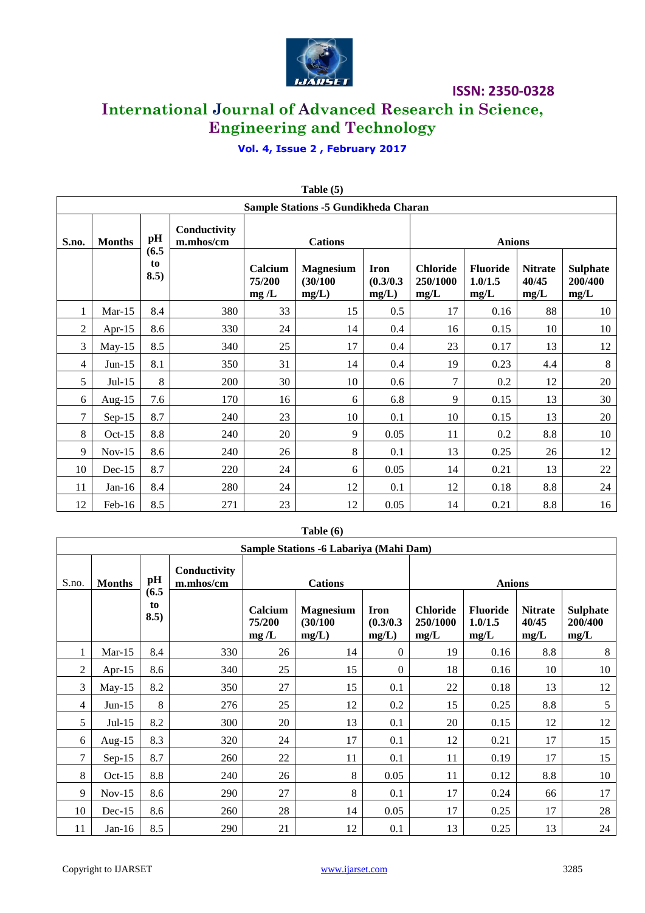

# **International Journal of Advanced Research in Science, Engineering and Technology**

# **Vol. 4, Issue 2 , February 2017**

|       |               |                     |                           |                           | <b>Table</b> $(3)$                          |                                   |                                     |                                    |                                 |                                    |
|-------|---------------|---------------------|---------------------------|---------------------------|---------------------------------------------|-----------------------------------|-------------------------------------|------------------------------------|---------------------------------|------------------------------------|
|       |               |                     |                           |                           | <b>Sample Stations -5 Gundikheda Charan</b> |                                   |                                     |                                    |                                 |                                    |
| S.no. | <b>Months</b> | pH                  | Conductivity<br>m.mhos/cm | <b>Cations</b>            |                                             |                                   | <b>Anions</b>                       |                                    |                                 |                                    |
|       |               | (6.5)<br>to<br>8.5) |                           | Calcium<br>75/200<br>mg/L | <b>Magnesium</b><br>(30/100)<br>mg/L)       | <b>Iron</b><br>(0.3/0.3)<br>mg/L) | <b>Chloride</b><br>250/1000<br>mg/L | <b>Fluoride</b><br>1.0/1.5<br>mg/L | <b>Nitrate</b><br>40/45<br>mg/L | <b>Sulphate</b><br>200/400<br>mg/L |
| 1     | $Mar-15$      | 8.4                 | 380                       | 33                        | 15                                          | 0.5                               | 17                                  | 0.16                               | 88                              | 10                                 |
| 2     | Apr- $15$     | 8.6                 | 330                       | 24                        | 14                                          | 0.4                               | 16                                  | 0.15                               | 10                              | 10                                 |
| 3     | $May-15$      | 8.5                 | 340                       | 25                        | 17                                          | 0.4                               | 23                                  | 0.17                               | 13                              | 12                                 |
| 4     | $Jun-15$      | 8.1                 | 350                       | 31                        | 14                                          | 0.4                               | 19                                  | 0.23                               | 4.4                             | $\,8\,$                            |
| 5     | $Jul-15$      | 8                   | 200                       | 30                        | 10                                          | 0.6                               | 7                                   | 0.2                                | 12                              | 20                                 |
| 6     | Aug-15        | 7.6                 | 170                       | 16                        | 6                                           | 6.8                               | 9                                   | 0.15                               | 13                              | 30                                 |
| 7     | $Sep-15$      | 8.7                 | 240                       | 23                        | 10                                          | 0.1                               | 10                                  | 0.15                               | 13                              | 20                                 |
| 8     | $Oct-15$      | 8.8                 | 240                       | 20                        | 9                                           | 0.05                              | 11                                  | 0.2                                | 8.8                             | 10                                 |
| 9     | $Nov-15$      | 8.6                 | 240                       | 26                        | 8                                           | 0.1                               | 13                                  | 0.25                               | 26                              | 12                                 |
| 10    | $Dec-15$      | 8.7                 | 220                       | 24                        | 6                                           | 0.05                              | 14                                  | 0.21                               | 13                              | 22                                 |
| 11    | $Jan-16$      | 8.4                 | 280                       | 24                        | 12                                          | 0.1                               | 12                                  | 0.18                               | 8.8                             | 24                                 |
| 12    | Feb-16        | 8.5                 | 271                       | 23                        | 12                                          | 0.05                              | 14                                  | 0.21                               | 8.8                             | 16                                 |

# **Table (5)**

# **Table (6)**

|                        |           |                     |                           | Sample Stations -6 Labariya (Mahi Dam) |                                       |                                   |                                     |                                    |                                 |                                    |  |
|------------------------|-----------|---------------------|---------------------------|----------------------------------------|---------------------------------------|-----------------------------------|-------------------------------------|------------------------------------|---------------------------------|------------------------------------|--|
| S.no.<br><b>Months</b> |           | pH                  | Conductivity<br>m.mhos/cm |                                        | <b>Cations</b>                        |                                   |                                     | <b>Anions</b>                      |                                 |                                    |  |
|                        |           | (6.5)<br>to<br>8.5) |                           | Calcium<br>75/200<br>mg/L              | <b>Magnesium</b><br>(30/100)<br>mg/L) | <b>Iron</b><br>(0.3/0.3)<br>mg/L) | <b>Chloride</b><br>250/1000<br>mg/L | <b>Fluoride</b><br>1.0/1.5<br>mg/L | <b>Nitrate</b><br>40/45<br>mg/L | <b>Sulphate</b><br>200/400<br>mg/L |  |
| 1                      | $Mar-15$  | 8.4                 | 330                       | 26                                     | 14                                    | $\overline{0}$                    | 19                                  | 0.16                               | 8.8                             | 8                                  |  |
| 2                      | Apr- $15$ | 8.6                 | 340                       | 25                                     | 15                                    | $\theta$                          | 18                                  | 0.16                               | 10                              | 10                                 |  |
| 3                      | $May-15$  | 8.2                 | 350                       | 27                                     | 15                                    | 0.1                               | 22                                  | 0.18                               | 13                              | 12                                 |  |
| 4                      | $Jun-15$  | 8                   | 276                       | 25                                     | 12                                    | 0.2                               | 15                                  | 0.25                               | 8.8                             | 5                                  |  |
| 5                      | $Jul-15$  | 8.2                 | 300                       | 20                                     | 13                                    | 0.1                               | 20                                  | 0.15                               | 12                              | 12                                 |  |
| 6                      | Aug- $15$ | 8.3                 | 320                       | 24                                     | 17                                    | 0.1                               | 12                                  | 0.21                               | 17                              | 15                                 |  |
| 7                      | $Sep-15$  | 8.7                 | 260                       | 22                                     | 11                                    | 0.1                               | 11                                  | 0.19                               | 17                              | 15                                 |  |
| 8                      | $Oct-15$  | 8.8                 | 240                       | 26                                     | 8                                     | 0.05                              | 11                                  | 0.12                               | 8.8                             | 10                                 |  |
| 9                      | $Nov-15$  | 8.6                 | 290                       | 27                                     | 8                                     | 0.1                               | 17                                  | 0.24                               | 66                              | 17                                 |  |
| 10                     | $Dec-15$  | 8.6                 | 260                       | 28                                     | 14                                    | 0.05                              | 17                                  | 0.25                               | 17                              | 28                                 |  |
| 11                     | $Jan-16$  | 8.5                 | 290                       | 21                                     | 12                                    | 0.1                               | 13                                  | 0.25                               | 13                              | 24                                 |  |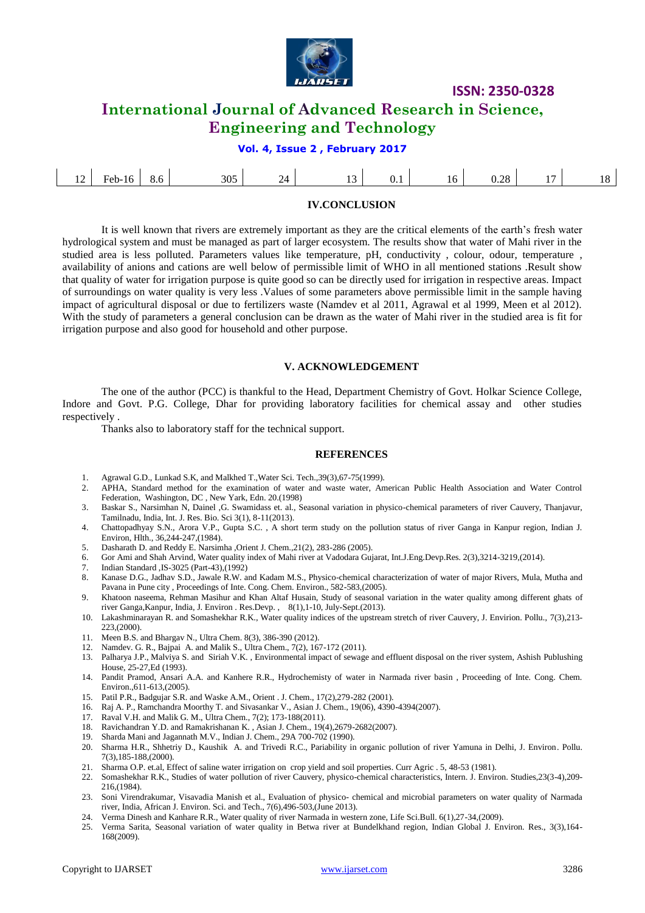

# **International Journal of Advanced Research in Science, Engineering and Technology**

**Vol. 4, Issue 2 , February 2017**

| ,<br>0.1<br>Heh-<br>. .<br>٠I٥<br>$\overline{\phantom{0}}$<br>◡.<br>1 U<br>v. 20<br>$\cdots$ | $\sim$ |  |  | 305 |  |  |  |  | ററ |  |  |
|----------------------------------------------------------------------------------------------|--------|--|--|-----|--|--|--|--|----|--|--|
|----------------------------------------------------------------------------------------------|--------|--|--|-----|--|--|--|--|----|--|--|

### **IV.CONCLUSION**

It is well known that rivers are extremely important as they are the critical elements of the earth's fresh water hydrological system and must be managed as part of larger ecosystem. The results show that water of Mahi river in the studied area is less polluted. Parameters values like temperature, pH, conductivity , colour, odour, temperature , availability of anions and cations are well below of permissible limit of WHO in all mentioned stations .Result show that quality of water for irrigation purpose is quite good so can be directly used for irrigation in respective areas. Impact of surroundings on water quality is very less .Values of some parameters above permissible limit in the sample having impact of agricultural disposal or due to fertilizers waste (Namdev et al 2011, Agrawal et al 1999, Meen et al 2012). With the study of parameters a general conclusion can be drawn as the water of Mahi river in the studied area is fit for irrigation purpose and also good for household and other purpose.

#### **V. ACKNOWLEDGEMENT**

The one of the author (PCC) is thankful to the Head, Department Chemistry of Govt. Holkar Science College, Indore and Govt. P.G. College, Dhar for providing laboratory facilities for chemical assay and other studies respectively .

Thanks also to laboratory staff for the technical support.

#### **REFERENCES**

- 1. Agrawal G.D., Lunkad S.K, and Malkhed T.,Water Sci. Tech.,39(3),67-75(1999).
- 2. APHA, Standard method for the examination of water and waste water, American Public Health Association and Water Control Federation, Washington, DC , New Yark, Edn. 20.(1998)
- 3. Baskar S., Narsimhan N, Dainel ,G. Swamidass et. al., Seasonal variation in physico-chemical parameters of river Cauvery, Thanjavur, Tamilnadu, India, Int. J. Res. Bio. Sci 3(1), 8-11(2013).
- 4. Chattopadhyay S.N., Arora V.P., Gupta S.C. , A short term study on the pollution status of river Ganga in Kanpur region, Indian J. Environ, Hlth., 36,244-247,(1984).
- 5. Dasharath D. and Reddy E. Narsimha ,Orient J. Chem.,21(2), 283-286 (2005).
- 6. Gor Ami and Shah Arvind, Water quality index of Mahi river at Vadodara Gujarat, Int.J.Eng.Devp.Res. 2(3),3214-3219,(2014).
- 7. Indian Standard ,IS-3025 (Part-43),(1992)
- 8. Kanase D.G., Jadhav S.D., Jawale R.W. and Kadam M.S., Physico-chemical characterization of water of major Rivers, Mula, Mutha and Pavana in Pune city , Proceedings of Inte. Cong. Chem. Environ., 582-583,(2005).
- 9. Khatoon naseema, Rehman Masihur and Khan Altaf Husain, Study of seasonal variation in the water quality among different ghats of river Ganga,Kanpur, India, J. Environ . Res.Devp. , 8(1),1-10, July-Sept.(2013).
- 10. Lakashminarayan R. and Somashekhar R.K., Water quality indices of the upstream stretch of river Cauvery, J. Envirion. Pollu., 7(3),213- 223,(2000).
- 11. Meen B.S. and Bhargav N., Ultra Chem. 8(3), 386-390 (2012).
- 12. Namdev. G. R., Bajpai A. and Malik S., Ultra Chem., 7(2), 167-172 (2011).
- 13. Palharya J.P., Malviya S. and Siriah V.K. , Environmental impact of sewage and effluent disposal on the river system, Ashish Publushing House, 25-27,Ed (1993).
- 14. Pandit Pramod, Ansari A.A. and Kanhere R.R., Hydrochemisty of water in Narmada river basin , Proceeding of Inte. Cong. Chem. Environ.,611-613,(2005).
- 15. Patil P.R., Badgujar S.R. and Waske A.M., Orient . J. Chem., 17(2),279-282 (2001).
- 16. Raj A. P., Ramchandra Moorthy T. and Sivasankar V., Asian J. Chem., 19(06), 4390-4394(2007).
- 17. Raval V.H. and Malik G. M., Ultra Chem., 7(2); 173-188(2011).
- 18. Ravichandran Y.D. and Ramakrishanan K. , Asian J. Chem., 19(4),2679-2682(2007).
- 19. Sharda Mani and Jagannath M.V., Indian J. Chem., 29A 700-702 (1990).
- 20. Sharma H.R., Shhetriy D., Kaushik A. and Trivedi R.C., Pariability in organic pollution of river Yamuna in Delhi, J. Environ. Pollu. 7(3),185-188,(2000).
- 21. Sharma O.P. et.al, Effect of saline water irrigation on crop yield and soil properties. Curr Agric . 5, 48-53 (1981).
- 22. Somashekhar R.K., Studies of water pollution of river Cauvery, physico-chemical characteristics, Intern. J. Environ. Studies,23(3-4),209- 216,(1984).
- 23. Soni Virendrakumar, Visavadia Manish et al., Evaluation of physico- chemical and microbial parameters on water quality of Narmada river, India, African J. Environ. Sci. and Tech., 7(6),496-503,(June 2013).
- 24. Verma Dinesh and Kanhare R.R., Water quality of river Narmada in western zone, Life Sci.Bull. 6(1),27-34,(2009).
- 25. Verma Sarita, Seasonal variation of water quality in Betwa river at Bundelkhand region, Indian Global J. Environ. Res., 3(3),164- 168(2009).